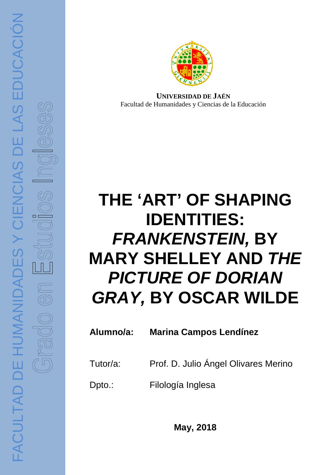

Facultad de Humanidades y Ciencias de la Educación *<u><b>UNIVERSIDAD DE JAÉN</u>*</u>

# **THE 'ART' OF SHAPING FRANKENSTEIN FRANKENSTEIN, BY MARY SHELLEY AND THE PICTURE OF DORIAN GRAY GRAY, BY OSCAR WILDE** UNIVERSIDAD DE<br>
E **'ART' OF<br>
FANKENST**<br>
PANKENST<br>
POTURE OF<br>
TURE OF<br>
Prof. D. Julio Ár<br>
Filología Inglesa<br>
May, 2018<br>
May, 2018 **IDENTITIES:**

### **Alumno/a: Marina Campos Lendínez**

- Tutor/a: Prof. D. Julio Ángel Olivares Merino
- Dpto.: Filología Inglesa

**May, 2018**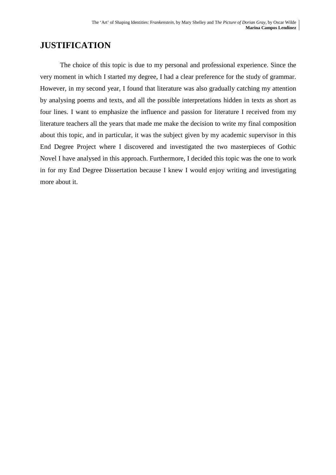# **JUSTIFICATION**

 The choice of this topic is due to my personal and professional experience. Since the very moment in which I started my degree, I had a clear preference for the study of grammar. However, in my second year, I found that literature was also gradually catching my attention by analysing poems and texts, and all the possible interpretations hidden in texts as short as four lines. I want to emphasize the influence and passion for literature I received from my literature teachers all the years that made me make the decision to write my final composition about this topic, and in particular, it was the subject given by my academic supervisor in this End Degree Project where I discovered and investigated the two masterpieces of Gothic Novel I have analysed in this approach. Furthermore, I decided this topic was the one to work in for my End Degree Dissertation because I knew I would enjoy writing and investigating more about it.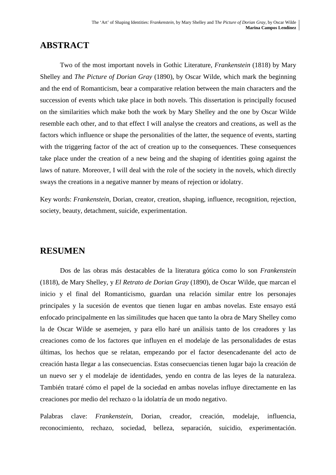# **ABSTRACT**

 Two of the most important novels in Gothic Literature, *Frankenstein* (1818) by Mary Shelley and *The Picture of Dorian Gray* (1890), by Oscar Wilde*,* which mark the beginning and the end of Romanticism, bear a comparative relation between the main characters and the succession of events which take place in both novels. This dissertation is principally focused on the similarities which make both the work by Mary Shelley and the one by Oscar Wilde resemble each other, and to that effect I will analyse the creators and creations, as well as the factors which influence or shape the personalities of the latter, the sequence of events, starting with the triggering factor of the act of creation up to the consequences. These consequences take place under the creation of a new being and the shaping of identities going against the laws of nature. Moreover, I will deal with the role of the society in the novels, which directly sways the creations in a negative manner by means of rejection or idolatry.

Key words: *Frankenstein*, Dorian, creator, creation, shaping, influence, recognition, rejection, society, beauty*,* detachment, suicide, experimentation.

# **RESUMEN**

Dos de las obras más destacables de la literatura gótica como lo son *Frankenstein*  (1818), de Mary Shelley, y *El Retrato de Dorian Gray* (1890), de Oscar Wilde, que marcan el inicio y el final del Romanticismo, guardan una relación similar entre los personajes principales y la sucesión de eventos que tienen lugar en ambas novelas. Este ensayo está enfocado principalmente en las similitudes que hacen que tanto la obra de Mary Shelley como la de Oscar Wilde se asemejen, y para ello haré un análisis tanto de los creadores y las creaciones como de los factores que influyen en el modelaje de las personalidades de estas últimas, los hechos que se relatan, empezando por el factor desencadenante del acto de creación hasta llegar a las consecuencias. Estas consecuencias tienen lugar bajo la creación de un nuevo ser y el modelaje de identidades, yendo en contra de las leyes de la naturaleza. También trataré cómo el papel de la sociedad en ambas novelas influye directamente en las creaciones por medio del rechazo o la idolatría de un modo negativo.

Palabras clave: *Frankenstein*, Dorian, creador, creación, modelaje, influencia, reconocimiento, rechazo, sociedad, belleza, separación, suicidio, experimentación.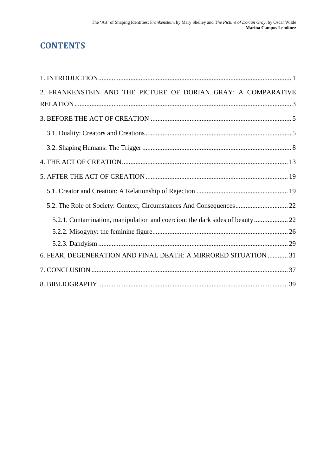# **CONTENTS**

| 2. FRANKENSTEIN AND THE PICTURE OF DORIAN GRAY: A COMPARATIVE                |  |
|------------------------------------------------------------------------------|--|
|                                                                              |  |
|                                                                              |  |
|                                                                              |  |
|                                                                              |  |
|                                                                              |  |
|                                                                              |  |
|                                                                              |  |
|                                                                              |  |
| 5.2.1. Contamination, manipulation and coercion: the dark sides of beauty 22 |  |
|                                                                              |  |
|                                                                              |  |
| 6. FEAR, DEGENERATION AND FINAL DEATH: A MIRRORED SITUATION  31              |  |
|                                                                              |  |
|                                                                              |  |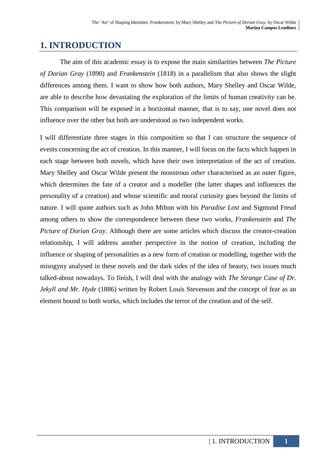# **1. INTRODUCTION**

The aim of this academic essay is to expose the main similarities between *The Picture of Dorian Gray* (1890) and *Frankenstein* (1818) in a parallelism that also shows the slight differences among them. I want to show how both authors, Mary Shelley and Oscar Wilde, are able to describe how devastating the exploration of the limits of human creativity can be. This comparison will be exposed in a horizontal manner, that is to say, one novel does not influence over the other but both are understood as two independent works.

I will differentiate three stages in this composition so that I can structure the sequence of events concerning the act of creation. In this manner, I will focus on the facts which happen in each stage between both novels, which have their own interpretation of the act of creation. Mary Shelley and Oscar Wilde present the monstrous *other* characterised as an outer figure, which determines the fate of a creator and a modeller (the latter shapes and influences the personality of a creation) and whose scientific and moral curiosity goes beyond the limits of nature. I will quote authors such as John Milton with his *Paradise Lost* and Sigmund Freud among others to show the correspondence between these two works, *Frankenstein* and *The Picture of Dorian Gray.* Although there are some articles which discuss the creator-creation relationship, I will address another perspective in the notion of creation, including the influence or shaping of personalities as a new form of creation or modelling, together with the misogyny analysed in these novels and the dark sides of the idea of beauty, two issues much talked-about nowadays. To finish, I will deal with the analogy with *The Strange Case of Dr. Jekyll and Mr. Hyde* (1886) written by Robert Louis Stevenson and the concept of fear as an element bound to both works, which includes the terror of the creation and of the self.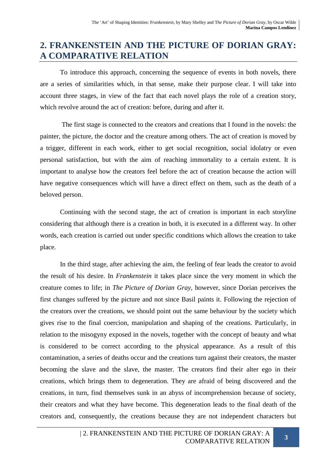# **2. FRANKENSTEIN AND THE PICTURE OF DORIAN GRAY: A COMPARATIVE RELATION**

To introduce this approach, concerning the sequence of events in both novels, there are a series of similarities which, in that sense, make their purpose clear. I will take into account three stages, in view of the fact that each novel plays the role of a creation story, which revolve around the act of creation: before, during and after it.

 The first stage is connected to the creators and creations that I found in the novels: the painter, the picture, the doctor and the creature among others. The act of creation is moved by a trigger, different in each work, either to get social recognition, social idolatry or even personal satisfaction, but with the aim of reaching immortality to a certain extent. It is important to analyse how the creators feel before the act of creation because the action will have negative consequences which will have a direct effect on them, such as the death of a beloved person.

Continuing with the second stage, the act of creation is important in each storyline considering that although there is a creation in both, it is executed in a different way. In other words, each creation is carried out under specific conditions which allows the creation to take place.

In the third stage, after achieving the aim, the feeling of fear leads the creator to avoid the result of his desire. In *Frankenstein* it takes place since the very moment in which the creature comes to life; in *The Picture of Dorian Gray,* however, since Dorian perceives the first changes suffered by the picture and not since Basil paints it. Following the rejection of the creators over the creations, we should point out the same behaviour by the society which gives rise to the final coercion, manipulation and shaping of the creations. Particularly, in relation to the misogyny exposed in the novels, together with the concept of beauty and what is considered to be correct according to the physical appearance. As a result of this contamination, a series of deaths occur and the creations turn against their creators, the master becoming the slave and the slave, the master. The creators find their alter ego in their creations, which brings them to degeneration. They are afraid of being discovered and the creations, in turn, find themselves sunk in an abyss of incomprehension because of society, their creators and what they have become. This degeneration leads to the final death of the creators and, consequently, the creations because they are not independent characters but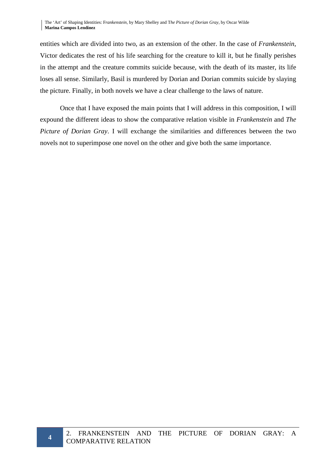entities which are divided into two, as an extension of the other. In the case of *Frankenstein*, Victor dedicates the rest of his life searching for the creature to kill it, but he finally perishes in the attempt and the creature commits suicide because, with the death of its master, its life loses all sense. Similarly, Basil is murdered by Dorian and Dorian commits suicide by slaying the picture. Finally, in both novels we have a clear challenge to the laws of nature.

Once that I have exposed the main points that I will address in this composition, I will expound the different ideas to show the comparative relation visible in *Frankenstein* and *The Picture of Dorian Gray*. I will exchange the similarities and differences between the two novels not to superimpose one novel on the other and give both the same importance.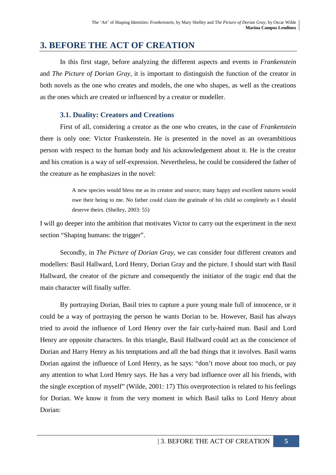# **3. BEFORE THE ACT OF CREATION**

In this first stage, before analyzing the different aspects and events in *Frankenstein*  and *The Picture of Dorian Gray,* it is important to distinguish the function of the creator in both novels as the one who creates and models, the one who shapes, as well as the creations as the ones which are created or influenced by a creator or modeller.

## **3.1. Duality: Creators and Creations**

First of all, considering a creator as the one who creates, in the case of *Frankenstein* there is only one: Victor Frankenstein. He is presented in the novel as an overambitious person with respect to the human body and his acknowledgement about it. He is the creator and his creation is a way of self-expression. Nevertheless, he could be considered the father of the creature as he emphasizes in the novel:

> A new species would bless me as its creator and source; many happy and excellent natures would owe their being to me. No father could claim the gratitude of his child so completely as I should deserve theirs. (Shelley, 2003: 55)

I will go deeper into the ambition that motivates Victor to carry out the experiment in the next section "Shaping humans: the trigger".

Secondly, in *The Picture of Dorian Gray*, we can consider four different creators and modellers: Basil Hallward, Lord Henry, Dorian Gray and the picture. I should start with Basil Hallward, the creator of the picture and consequently the initiator of the tragic end that the main character will finally suffer.

By portraying Dorian, Basil tries to capture a pure young male full of innocence, or it could be a way of portraying the person he wants Dorian to be. However, Basil has always tried to avoid the influence of Lord Henry over the fair curly-haired man. Basil and Lord Henry are opposite characters. In this triangle, Basil Hallward could act as the conscience of Dorian and Harry Henry as his temptations and all the bad things that it involves. Basil warns Dorian against the influence of Lord Henry, as he says: "don't move about too much, or pay any attention to what Lord Henry says. He has a very bad influence over all his friends, with the single exception of myself" (Wilde, 2001: 17) This overprotection is related to his feelings for Dorian. We know it from the very moment in which Basil talks to Lord Henry about Dorian: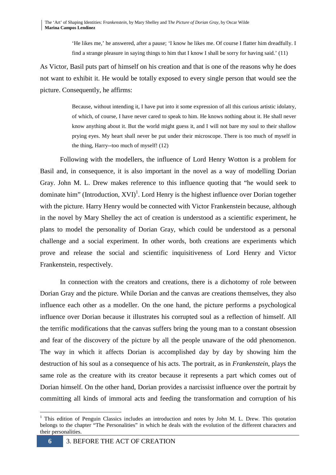'He likes me,' he answered, after a pause; 'I know he likes me. Of course I flatter him dreadfully. I find a strange pleasure in saying things to him that I know I shall be sorry for having said.' (11)

As Victor, Basil puts part of himself on his creation and that is one of the reasons why he does not want to exhibit it. He would be totally exposed to every single person that would see the picture. Consequently, he affirms:

> Because, without intending it, I have put into it some expression of all this curious artistic idolatry, of which, of course, I have never cared to speak to him. He knows nothing about it. He shall never know anything about it. But the world might guess it, and I will not bare my soul to their shallow prying eyes. My heart shall never be put under their microscope. There is too much of myself in the thing, Harry--too much of myself! (12)

Following with the modellers, the influence of Lord Henry Wotton is a problem for Basil and, in consequence, it is also important in the novel as a way of modelling Dorian Gray. John M. L. Drew makes reference to this influence quoting that "he would seek to dominate him" (Introduction, XVI)<sup>1</sup>. Lord Henry is the highest influence over Dorian together with the picture. Harry Henry would be connected with Victor Frankenstein because, although in the novel by Mary Shelley the act of creation is understood as a scientific experiment, he plans to model the personality of Dorian Gray, which could be understood as a personal challenge and a social experiment. In other words, both creations are experiments which prove and release the social and scientific inquisitiveness of Lord Henry and Victor Frankenstein, respectively.

In connection with the creators and creations, there is a dichotomy of role between Dorian Gray and the picture. While Dorian and the canvas are creations themselves, they also influence each other as a modeller. On the one hand, the picture performs a psychological influence over Dorian because it illustrates his corrupted soul as a reflection of himself. All the terrific modifications that the canvas suffers bring the young man to a constant obsession and fear of the discovery of the picture by all the people unaware of the odd phenomenon. The way in which it affects Dorian is accomplished day by day by showing him the destruction of his soul as a consequence of his acts. The portrait, as in *Frankenstein*, plays the same role as the creature with its creator because it represents a part which comes out of Dorian himself. On the other hand, Dorian provides a narcissist influence over the portrait by committing all kinds of immoral acts and feeding the transformation and corruption of his

<sup>&</sup>lt;sup>1</sup> This edition of Penguin Classics includes an introduction and notes by John M. L. Drew. This quotation belongs to the chapter "The Personalities" in which he deals with the evolution of the different characters and their personalities.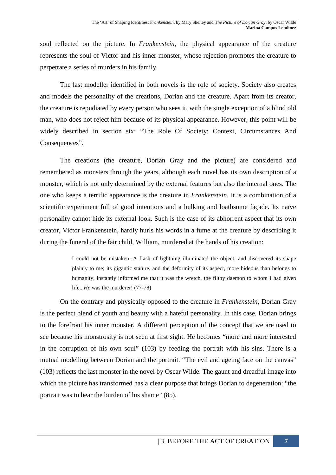soul reflected on the picture. In *Frankenstein*, the physical appearance of the creature represents the soul of Victor and his inner monster, whose rejection promotes the creature to perpetrate a series of murders in his family.

The last modeller identified in both novels is the role of society. Society also creates and models the personality of the creations, Dorian and the creature. Apart from its creator, the creature is repudiated by every person who sees it, with the single exception of a blind old man, who does not reject him because of its physical appearance. However, this point will be widely described in section six: "The Role Of Society: Context, Circumstances And Consequences".

The creations (the creature, Dorian Gray and the picture) are considered and remembered as monsters through the years, although each novel has its own description of a monster, which is not only determined by the external features but also the internal ones. The one who keeps a terrific appearance is the creature in *Frankenstein.* It is a combination of a scientific experiment full of good intentions and a hulking and loathsome façade. Its naïve personality cannot hide its external look. Such is the case of its abhorrent aspect that its own creator, Victor Frankenstein, hardly hurls his words in a fume at the creature by describing it during the funeral of the fair child, William, murdered at the hands of his creation:

> I could not be mistaken. A flash of lightning illuminated the object, and discovered its shape plainly to me; its gigantic stature, and the deformity of its aspect, more hideous than belongs to humanity, instantly informed me that it was the wretch, the filthy daemon to whom I had given life...*He* was the murderer! (77-78)

 On the contrary and physically opposed to the creature in *Frankenstein*, Dorian Gray is the perfect blend of youth and beauty with a hateful personality. In this case, Dorian brings to the forefront his inner monster. A different perception of the concept that we are used to see because his monstrosity is not seen at first sight. He becomes "more and more interested in the corruption of his own soul" (103) by feeding the portrait with his sins. There is a mutual modelling between Dorian and the portrait. "The evil and ageing face on the canvas" (103) reflects the last monster in the novel by Oscar Wilde. The gaunt and dreadful image into which the picture has transformed has a clear purpose that brings Dorian to degeneration: "the portrait was to bear the burden of his shame" (85).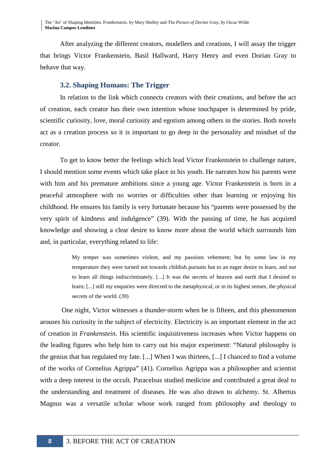The 'Art' of Shaping Identities: F*rankenstein,* by Mary Shelley and T*he Picture of Dorian Gray,* by Oscar Wilde **Marina Campos Lendínez**

 After analyzing the different creators, modellers and creations, I will assay the trigger that brings Victor Frankenstein, Basil Hallward, Harry Henry and even Dorian Gray to behave that way.

### **3.2. Shaping Humans: The Trigger**

In relation to the link which connects creators with their creations, and before the act of creation, each creator has their own intention whose touchpaper is determined by pride, scientific curiosity, love, moral curiosity and egotism among others in the stories. Both novels act as a creation process so it is important to go deep in the personality and mindset of the creator.

To get to know better the feelings which lead Victor Frankenstein to challenge nature, I should mention some events which take place in his youth. He narrates how his parents were with him and his premature ambitions since a young age. Victor Frankenstein is born in a peaceful atmosphere with no worries or difficulties other than learning or enjoying his childhood. He ensures his family is very fortunate because his "parents were possessed by the very spirit of kindness and indulgence" (39). With the passing of time, he has acquired knowledge and showing a clear desire to know more about the world which surrounds him and, in particular, everything related to life:

> My temper was sometimes violent, and my passions vehement; but by some law in my temperature they were turned not towards childish pursuits but to an eager desire to learn, and not to learn all things indiscriminately. [...] It was the secrets of heaven and earth that I desired to learn; [...] still my enquiries were directed to the metaphysical, or in its highest senses, the physical secrets of the world. (39)

 One night, Victor witnesses a thunder-storm when he is fifteen, and this phenomenon arouses his curiosity in the subject of electricity. Electricity is an important element in the act of creation in *Frankenstein*. His scientific inquisitiveness increases when Victor happens on the leading figures who help him to carry out his major experiment: "Natural philosophy is the genius that has regulated my fate. [...] When I was thirteen, [...] I chanced to find a volume of the works of Cornelius Agrippa" (41). Cornelius Agrippa was a philosopher and scientist with a deep interest in the occult. Paracelsus studied medicine and contributed a great deal to the understanding and treatment of diseases. He was also drawn to alchemy. St. Albertus Magnus was a versatile scholar whose work ranged from philosophy and theology to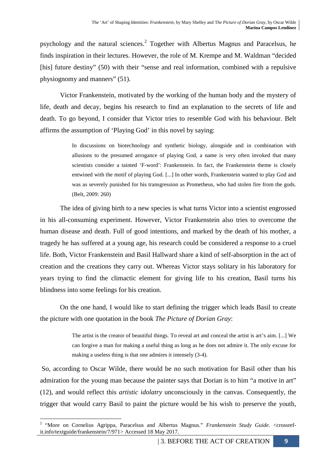psychology and the natural sciences.<sup>2</sup> Together with Albertus Magnus and Paracelsus, he finds inspiration in their lectures. However, the role of M. Krempe and M. Waldman "decided [his] future destiny" (50) with their "sense and real information, combined with a repulsive physiognomy and manners" (51).

Victor Frankenstein, motivated by the working of the human body and the mystery of life, death and decay, begins his research to find an explanation to the secrets of life and death. To go beyond, I consider that Victor tries to resemble God with his behaviour. Belt affirms the assumption of 'Playing God' in this novel by saying:

> In discussions on biotechnology and synthetic biology, alongside and in combination with allusions to the presumed arrogance of playing God, a name is very often invoked that many scientists consider a tainted 'F-word': Frankenstein. In fact, the Frankenstein theme is closely entwined with the motif of playing God. [...] In other words, Frankenstein wanted to play God and was as severely punished for his transgression as Prometheus, who had stolen fire from the gods. (Belt, 2009: 260)

The idea of giving birth to a new species is what turns Victor into a scientist engrossed in his all-consuming experiment. However, Victor Frankenstein also tries to overcome the human disease and death. Full of good intentions, and marked by the death of his mother, a tragedy he has suffered at a young age, his research could be considered a response to a cruel life. Both, Victor Frankenstein and Basil Hallward share a kind of self-absorption in the act of creation and the creations they carry out. Whereas Victor stays solitary in his laboratory for years trying to find the climactic element for giving life to his creation, Basil turns his blindness into some feelings for his creation.

On the one hand, I would like to start defining the trigger which leads Basil to create the picture with one quotation in the book *The Picture of Dorian Gray*:

> The artist is the creator of beautiful things. To reveal art and conceal the artist is art's aim. [...] We can forgive a man for making a useful thing as long as he does not admire it. The only excuse for making a useless thing is that one admires it intensely (3-4).

 So, according to Oscar Wilde, there would be no such motivation for Basil other than his admiration for the young man because the painter says that Dorian is to him "a motive in art" (12), and would reflect this *artistic idolatry* unconsciously in the canvas. Consequently, the trigger that would carry Basil to paint the picture would be his wish to preserve the youth,

 2 "More on Cornelius Agrippa, Paracelsus and Albertus Magnus." *Frankenstein Study Guide.* <crossrefit.info/textguide/frankenstein/7/971> Accessed 18 May 2017.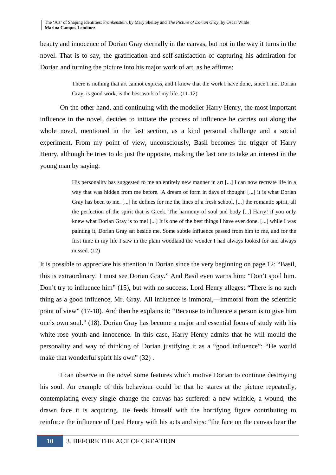beauty and innocence of Dorian Gray eternally in the canvas, but not in the way it turns in the novel. That is to say, the gratification and self-satisfaction of capturing his admiration for Dorian and turning the picture into his major work of art, as he affirms:

> There is nothing that art cannot express, and I know that the work I have done, since I met Dorian Gray, is good work, is the best work of my life. (11-12)

On the other hand, and continuing with the modeller Harry Henry, the most important influence in the novel, decides to initiate the process of influence he carries out along the whole novel, mentioned in the last section, as a kind personal challenge and a social experiment. From my point of view, unconsciously, Basil becomes the trigger of Harry Henry, although he tries to do just the opposite, making the last one to take an interest in the young man by saying:

> His personality has suggested to me an entirely new manner in art [...] I can now recreate life in a way that was hidden from me before. 'A dream of form in days of thought' [...] it is what Dorian Gray has been to me. [...] he defines for me the lines of a fresh school, [...] the romantic spirit, all the perfection of the spirit that is Greek. The harmony of soul and body [...] Harry! if you only knew what Dorian Gray is to me! [...] It is one of the best things I have ever done. [...] while I was painting it, Dorian Gray sat beside me. Some subtle influence passed from him to me, and for the first time in my life I saw in the plain woodland the wonder I had always looked for and always missed. (12)

It is possible to appreciate his attention in Dorian since the very beginning on page 12: "Basil, this is extraordinary! I must see Dorian Gray." And Basil even warns him: "Don't spoil him. Don't try to influence him" (15), but with no success. Lord Henry alleges: "There is no such thing as a good influence, Mr. Gray. All influence is immoral,—immoral from the scientific point of view" (17-18). And then he explains it: "Because to influence a person is to give him one's own soul." (18). Dorian Gray has become a major and essential focus of study with his white-rose youth and innocence. In this case, Harry Henry admits that he will mould the personality and way of thinking of Dorian justifying it as a "good influence": "He would make that wonderful spirit his own" (32).

 I can observe in the novel some features which motive Dorian to continue destroying his soul. An example of this behaviour could be that he stares at the picture repeatedly, contemplating every single change the canvas has suffered: a new wrinkle, a wound, the drawn face it is acquiring. He feeds himself with the horrifying figure contributing to reinforce the influence of Lord Henry with his acts and sins: "the face on the canvas bear the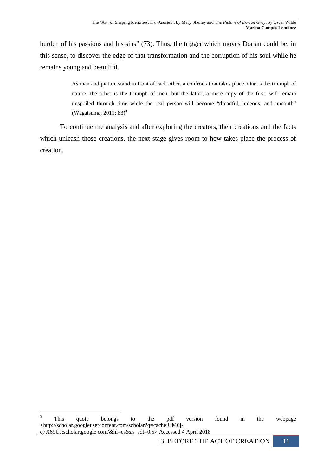burden of his passions and his sins" (73). Thus, the trigger which moves Dorian could be, in this sense, to discover the edge of that transformation and the corruption of his soul while he remains young and beautiful.

> As man and picture stand in front of each other, a confrontation takes place. One is the triumph of nature, the other is the triumph of men, but the latter, a mere copy of the first, will remain unspoiled through time while the real person will become "dreadful, hideous, and uncouth" (Wagatsuma, 2011: 83) $3$

 To continue the analysis and after exploring the creators, their creations and the facts which unleash those creations, the next stage gives room to how takes place the process of creation.

 $\frac{1}{3}$  This quote belongs to the pdf version found in the webpage <http://scholar.googleusercontent.com/scholar?q=cache:UM0jq7X69UJ:scholar.google.com/&hl=es&as\_sdt=0,5> Accessed 4 April 2018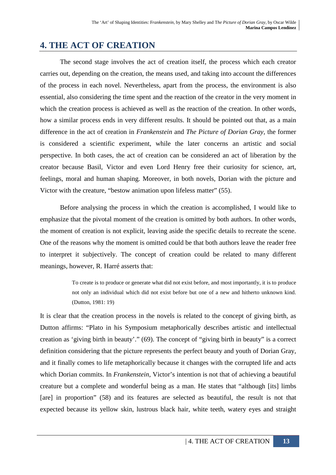# **4. THE ACT OF CREATION**

 The second stage involves the act of creation itself, the process which each creator carries out, depending on the creation, the means used, and taking into account the differences of the process in each novel. Nevertheless, apart from the process, the environment is also essential, also considering the time spent and the reaction of the creator in the very moment in which the creation process is achieved as well as the reaction of the creation. In other words, how a similar process ends in very different results. It should be pointed out that, as a main difference in the act of creation in *Frankenstein* and *The Picture of Dorian Gray,* the former is considered a scientific experiment, while the later concerns an artistic and social perspective. In both cases, the act of creation can be considered an act of liberation by the creator because Basil, Victor and even Lord Henry free their curiosity for science, art, feelings, moral and human shaping. Moreover, in both novels, Dorian with the picture and Victor with the creature, "bestow animation upon lifeless matter" (55).

 Before analysing the process in which the creation is accomplished, I would like to emphasize that the pivotal moment of the creation is omitted by both authors. In other words, the moment of creation is not explicit, leaving aside the specific details to recreate the scene. One of the reasons why the moment is omitted could be that both authors leave the reader free to interpret it subjectively. The concept of creation could be related to many different meanings, however, R. Harré asserts that:

> To create is to produce or generate what did not exist before, and most importantly, it is to produce not only an individual which did not exist before but one of a new and hitherto unknown kind. (Dutton, 1981: 19)

It is clear that the creation process in the novels is related to the concept of giving birth, as Dutton affirms: "Plato in his Symposium metaphorically describes artistic and intellectual creation as 'giving birth in beauty'." (69). The concept of "giving birth in beauty" is a correct definition considering that the picture represents the perfect beauty and youth of Dorian Gray, and it finally comes to life metaphorically because it changes with the corrupted life and acts which Dorian commits. In *Frankenstein*, Victor's intention is not that of achieving a beautiful creature but a complete and wonderful being as a man. He states that "although [its] limbs [are] in proportion" (58) and its features are selected as beautiful, the result is not that expected because its yellow skin, lustrous black hair, white teeth, watery eyes and straight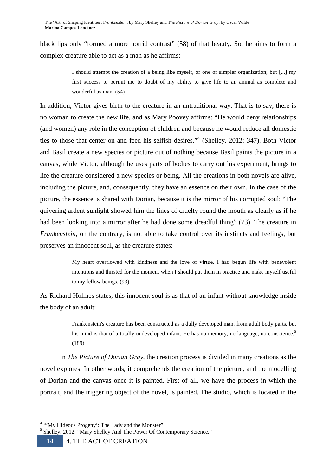black lips only "formed a more horrid contrast" (58) of that beauty. So, he aims to form a complex creature able to act as a man as he affirms:

> I should attempt the creation of a being like myself, or one of simpler organization; but [...] my first success to permit me to doubt of my ability to give life to an animal as complete and wonderful as man. (54)

In addition, Victor gives birth to the creature in an untraditional way. That is to say, there is no woman to create the new life, and as Mary Poovey affirms: "He would deny relationships (and women) any role in the conception of children and because he would reduce all domestic ties to those that center on and feed his selfish desires."<sup>4</sup> (Shelley, 2012: 347). Both Victor and Basil create a new species or picture out of nothing because Basil paints the picture in a canvas, while Victor, although he uses parts of bodies to carry out his experiment, brings to life the creature considered a new species or being. All the creations in both novels are alive, including the picture, and, consequently, they have an essence on their own. In the case of the picture, the essence is shared with Dorian, because it is the mirror of his corrupted soul: "The quivering ardent sunlight showed him the lines of cruelty round the mouth as clearly as if he had been looking into a mirror after he had done some dreadful thing" (73). The creature in *Frankenstein*, on the contrary, is not able to take control over its instincts and feelings, but preserves an innocent soul, as the creature states:

> My heart overflowed with kindness and the love of virtue. I had begun life with benevolent intentions and thirsted for the moment when I should put them in practice and make myself useful to my fellow beings. (93)

As Richard Holmes states, this innocent soul is as that of an infant without knowledge inside the body of an adult:

> Frankenstein's creature has been constructed as a dully developed man, from adult body parts, but his mind is that of a totally undeveloped infant. He has no memory, no language, no conscience.<sup>5</sup> (189)

In *The Picture of Dorian Gray*, the creation process is divided in many creations as the novel explores. In other words, it comprehends the creation of the picture, and the modelling of Dorian and the canvas once it is painted. First of all, we have the process in which the portrait, and the triggering object of the novel, is painted. The studio, which is located in the

<sup>&</sup>lt;sup>4</sup> "My Hideous Progeny': The Lady and the Monster"

<sup>&</sup>lt;sup>5</sup> Shelley, 2012: "Mary Shelley And The Power Of Contemporary Science."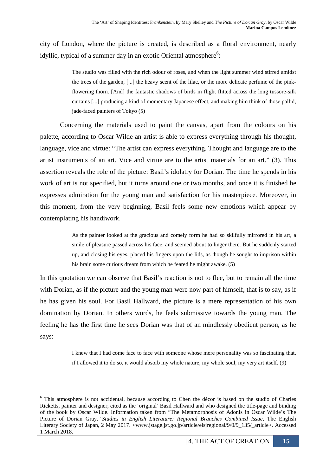city of London, where the picture is created, is described as a floral environment, nearly idyllic, typical of a summer day in an exotic Oriental atmosphere<sup>6</sup>:

> The studio was filled with the rich odour of roses, and when the light summer wind stirred amidst the trees of the garden, [...] the heavy scent of the lilac, or the more delicate perfume of the pinkflowering thorn. [And] the fantastic shadows of birds in flight flitted across the long tussore-silk curtains [...] producing a kind of momentary Japanese effect, and making him think of those pallid, jade-faced painters of Tokyo (5)

Concerning the materials used to paint the canvas, apart from the colours on his palette, according to Oscar Wilde an artist is able to express everything through his thought, language, vice and virtue: "The artist can express everything. Thought and language are to the artist instruments of an art. Vice and virtue are to the artist materials for an art." (3). This assertion reveals the role of the picture: Basil's idolatry for Dorian. The time he spends in his work of art is not specified, but it turns around one or two months, and once it is finished he expresses admiration for the young man and satisfaction for his masterpiece. Moreover, in this moment, from the very beginning, Basil feels some new emotions which appear by contemplating his handiwork.

> As the painter looked at the gracious and comely form he had so skilfully mirrored in his art, a smile of pleasure passed across his face, and seemed about to linger there. But he suddenly started up, and closing his eyes, placed his fingers upon the lids, as though he sought to imprison within his brain some curious dream from which he feared he might awake. (5)

In this quotation we can observe that Basil's reaction is not to flee, but to remain all the time with Dorian, as if the picture and the young man were now part of himself, that is to say, as if he has given his soul. For Basil Hallward, the picture is a mere representation of his own domination by Dorian. In others words, he feels submissive towards the young man. The feeling he has the first time he sees Dorian was that of an mindlessly obedient person, as he says:

> I knew that I had come face to face with someone whose mere personality was so fascinating that, if I allowed it to do so, it would absorb my whole nature, my whole soul, my very art itself. (9)

 $\overline{a}$ <sup>6</sup> This atmosphere is not accidental, because according to Chen the décor is based on the studio of Charles Ricketts, painter and designer, cited as the 'original' Basil Hallward and who designed the title-page and binding of the book by Oscar Wilde. Information taken from "The Metamorphosis of Adonis in Oscar Wilde's The Picture of Dorian Gray." *Studies in English Literature: Regional Branches Combined Issue*, The English Literary Society of Japan, 2 May 2017. <www.jstage.jst.go.jp/article/elsjregional/9/0/9\_135/\_article>. Accessed 1 March 2018.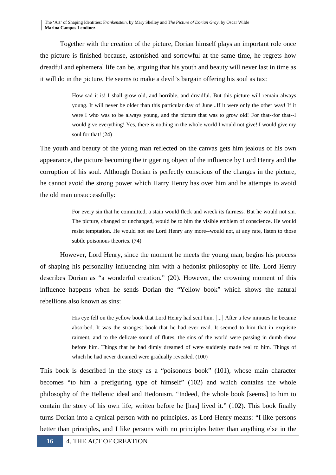Together with the creation of the picture, Dorian himself plays an important role once the picture is finished because, astonished and sorrowful at the same time, he regrets how dreadful and ephemeral life can be, arguing that his youth and beauty will never last in time as it will do in the picture. He seems to make a devil's bargain offering his soul as tax:

> How sad it is! I shall grow old, and horrible, and dreadful. But this picture will remain always young. It will never be older than this particular day of June...If it were only the other way! If it were I who was to be always young, and the picture that was to grow old! For that--for that--I would give everything! Yes, there is nothing in the whole world I would not give! I would give my soul for that! (24)

The youth and beauty of the young man reflected on the canvas gets him jealous of his own appearance, the picture becoming the triggering object of the influence by Lord Henry and the corruption of his soul. Although Dorian is perfectly conscious of the changes in the picture, he cannot avoid the strong power which Harry Henry has over him and he attempts to avoid the old man unsuccessfully:

> For every sin that he committed, a stain would fleck and wreck its fairness. But he would not sin. The picture, changed or unchanged, would be to him the visible emblem of conscience. He would resist temptation. He would not see Lord Henry any more--would not, at any rate, listen to those subtle poisonous theories. (74)

However, Lord Henry, since the moment he meets the young man, begins his process of shaping his personality influencing him with a hedonist philosophy of life. Lord Henry describes Dorian as "a wonderful creation." (20). However, the crowning moment of this influence happens when he sends Dorian the "Yellow book" which shows the natural rebellions also known as sins:

> His eye fell on the yellow book that Lord Henry had sent him. [...] After a few minutes he became absorbed. It was the strangest book that he had ever read. It seemed to him that in exquisite raiment, and to the delicate sound of flutes, the sins of the world were passing in dumb show before him. Things that he had dimly dreamed of were suddenly made real to him. Things of which he had never dreamed were gradually revealed. (100)

This book is described in the story as a "poisonous book" (101), whose main character becomes "to him a prefiguring type of himself" (102) and which contains the whole philosophy of the Hellenic ideal and Hedonism. "Indeed, the whole book [seems] to him to contain the story of his own life, written before he [has] lived it." (102). This book finally turns Dorian into a cynical person with no principles, as Lord Henry means: "I like persons better than principles, and I like persons with no principles better than anything else in the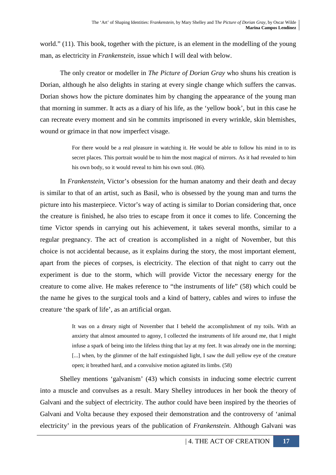world." (11). This book, together with the picture, is an element in the modelling of the young man, as electricity in *Frankenstein*, issue which I will deal with below.

 The only creator or modeller in *The Picture of Dorian Gray* who shuns his creation is Dorian, although he also delights in staring at every single change which suffers the canvas. Dorian shows how the picture dominates him by changing the appearance of the young man that morning in summer. It acts as a diary of his life, as the 'yellow book', but in this case he can recreate every moment and sin he commits imprisoned in every wrinkle, skin blemishes, wound or grimace in that now imperfect visage.

> For there would be a real pleasure in watching it. He would be able to follow his mind in to its secret places. This portrait would be to him the most magical of mirrors. As it had revealed to him his own body, so it would reveal to him his own soul. (86).

In *Frankenstein*, Victor's obsession for the human anatomy and their death and decay is similar to that of an artist, such as Basil, who is obsessed by the young man and turns the picture into his masterpiece. Victor's way of acting is similar to Dorian considering that, once the creature is finished, he also tries to escape from it once it comes to life. Concerning the time Victor spends in carrying out his achievement, it takes several months, similar to a regular pregnancy. The act of creation is accomplished in a night of November, but this choice is not accidental because, as it explains during the story, the most important element, apart from the pieces of corpses, is electricity. The election of that night to carry out the experiment is due to the storm, which will provide Victor the necessary energy for the creature to come alive. He makes reference to "the instruments of life" (58) which could be the name he gives to the surgical tools and a kind of battery, cables and wires to infuse the creature 'the spark of life', as an artificial organ.

> It was on a dreary night of November that I beheld the accomplishment of my toils. With an anxiety that almost amounted to agony, I collected the instruments of life around me, that I might infuse a spark of being into the lifeless thing that lay at my feet. It was already one in the morning; [...] when, by the glimmer of the half extinguished light, I saw the dull yellow eye of the creature open; it breathed hard, and a convulsive motion agitated its limbs. (58)

Shelley mentions 'galvanism' (43) which consists in inducing some electric current into a muscle and convulses as a result. Mary Shelley introduces in her book the theory of Galvani and the subject of electricity. The author could have been inspired by the theories of Galvani and Volta because they exposed their demonstration and the controversy of 'animal electricity' in the previous years of the publication of *Frankenstein*. Although Galvani was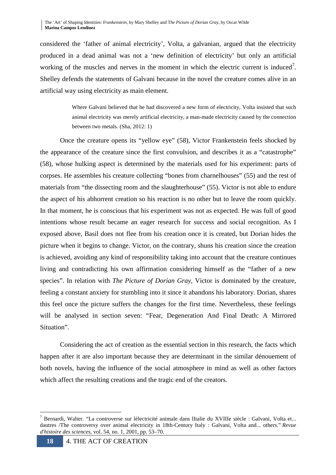considered the 'father of animal electricity', Volta, a galvanian, argued that the electricity produced in a dead animal was not a 'new definition of electricity' but only an artificial working of the muscles and nerves in the moment in which the electric current is induced<sup>7</sup>. Shelley defends the statements of Galvani because in the novel the creature comes alive in an artificial way using electricity as main element.

> Where Galvani believed that he had discovered a new form of electricity, Volta insisted that such animal electricity was merely artificial electricity, a man-made electricity caused by the connection between two metals. (Sha, 2012: 1)

Once the creature opens its "yellow eye" (58), Victor Frankenstein feels shocked by the appearance of the creature since the first convulsion, and describes it as a "catastrophe" (58), whose hulking aspect is determined by the materials used for his experiment: parts of corpses. He assembles his creature collecting "bones from charnelhouses" (55) and the rest of materials from "the dissecting room and the slaughterhouse" (55). Victor is not able to endure the aspect of his abhorrent creation so his reaction is no other but to leave the room quickly. In that moment, he is conscious that his experiment was not as expected. He was full of good intentions whose result became an eager research for success and social recognition. As I exposed above, Basil does not flee from his creation once it is created, but Dorian hides the picture when it begins to change. Victor, on the contrary, shuns his creation since the creation is achieved, avoiding any kind of responsibility taking into account that the creature continues living and contradicting his own affirmation considering himself as the "father of a new species". In relation with *The Picture of Dorian Gray,* Victor is dominated by the creature, feeling a constant anxiety for stumbling into it since it abandons his laboratory. Dorian, shares this feel once the picture suffers the changes for the first time. Nevertheless, these feelings will be analysed in section seven: "Fear, Degeneration And Final Death: A Mirrored Situation".

 Considering the act of creation as the essential section in this research, the facts which happen after it are also important because they are determinant in the similar dénouement of both novels, having the influence of the social atmosphere in mind as well as other factors which affect the resulting creations and the tragic end of the creators.

 $\overline{a}$ <sup>7</sup> Bernardi, Walter. "La controverse sur lélectricité animale dans lItalie du XVIIIe siècle : Galvani, Volta et... dautres /The controversy over animal electricity in 18th-Century Italy : Galvani, Volta and... others." *Revue d'histoire des sciences*, vol. 54, no. 1, 2001, pp. 53–70.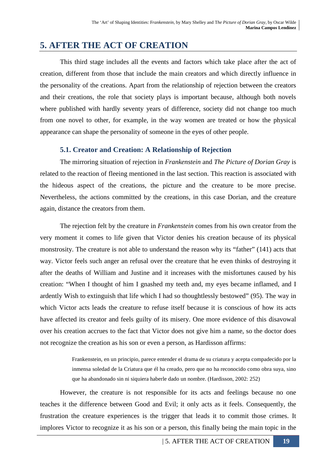# **5. AFTER THE ACT OF CREATION**

This third stage includes all the events and factors which take place after the act of creation, different from those that include the main creators and which directly influence in the personality of the creations. Apart from the relationship of rejection between the creators and their creations, the role that society plays is important because, although both novels where published with hardly seventy years of difference, society did not change too much from one novel to other, for example, in the way women are treated or how the physical appearance can shape the personality of someone in the eyes of other people.

## **5.1. Creator and Creation: A Relationship of Rejection**

The mirroring situation of rejection in *Frankenstein* and *The Picture of Dorian Gray* is related to the reaction of fleeing mentioned in the last section. This reaction is associated with the hideous aspect of the creations, the picture and the creature to be more precise. Nevertheless, the actions committed by the creations, in this case Dorian, and the creature again, distance the creators from them.

The rejection felt by the creature in *Frankenstein* comes from his own creator from the very moment it comes to life given that Victor denies his creation because of its physical monstrosity. The creature is not able to understand the reason why its "father" (141) acts that way. Victor feels such anger an refusal over the creature that he even thinks of destroying it after the deaths of William and Justine and it increases with the misfortunes caused by his creation: "When I thought of him I gnashed my teeth and, my eyes became inflamed, and I ardently Wish to extinguish that life which I had so thoughtlessly bestowed" (95). The way in which Victor acts leads the creature to refuse itself because it is conscious of how its acts have affected its creator and feels guilty of its misery. One more evidence of this disavowal over his creation accrues to the fact that Victor does not give him a name, so the doctor does not recognize the creation as his son or even a person, as Hardisson affirms:

> Frankenstein, en un principio, parece entender el drama de su criatura y acepta compadecido por la inmensa soledad de la Criatura que él ha creado, pero que no ha reconocido como obra suya, sino que ha abandonado sin ni siquiera haberle dado un nombre. (Hardisson, 2002: 252)

However, the creature is not responsible for its acts and feelings because no one teaches it the difference between Good and Evil; it only acts as it feels. Consequently, the frustration the creature experiences is the trigger that leads it to commit those crimes. It implores Victor to recognize it as his son or a person, this finally being the main topic in the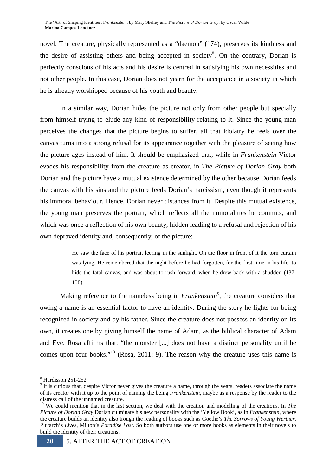novel. The creature, physically represented as a "daemon" (174), preserves its kindness and the desire of assisting others and being accepted in society<sup>8</sup>. On the contrary, Dorian is perfectly conscious of his acts and his desire is centred in satisfying his own necessities and not other people. In this case, Dorian does not yearn for the acceptance in a society in which he is already worshipped because of his youth and beauty.

In a similar way, Dorian hides the picture not only from other people but specially from himself trying to elude any kind of responsibility relating to it. Since the young man perceives the changes that the picture begins to suffer, all that idolatry he feels over the canvas turns into a strong refusal for its appearance together with the pleasure of seeing how the picture ages instead of him. It should be emphasized that, while in *Frankenstein* Victor evades his responsibility from the creature as creator, in *The Picture of Dorian Gray* both Dorian and the picture have a mutual existence determined by the other because Dorian feeds the canvas with his sins and the picture feeds Dorian's narcissism, even though it represents his immoral behaviour. Hence, Dorian never distances from it. Despite this mutual existence, the young man preserves the portrait, which reflects all the immoralities he commits, and which was once a reflection of his own beauty, hidden leading to a refusal and rejection of his own depraved identity and, consequently, of the picture:

> He saw the face of his portrait leering in the sunlight. On the floor in front of it the torn curtain was lying. He remembered that the night before he had forgotten, for the first time in his life, to hide the fatal canvas, and was about to rush forward, when he drew back with a shudder. (137- 138)

Making reference to the nameless being in *Frankenstein*<sup>9</sup>, the creature considers that owing a name is an essential factor to have an identity. During the story he fights for being recognized in society and by his father. Since the creature does not possess an identity on its own, it creates one by giving himself the name of Adam, as the biblical character of Adam and Eve. Rosa affirms that: "the monster [...] does not have a distinct personality until he comes upon four books."<sup>10</sup> (Rosa, 2011: 9). The reason why the creature uses this name is

<sup>8</sup> Hardisson 251-252.

 $9$  It is curious that, despite Victor never gives the creature a name, through the years, readers associate the name of its creator with it up to the point of naming the being *Frankenstein*, maybe as a response by the reader to the distress call of the unnamed creature.

<sup>&</sup>lt;sup>10</sup> We could mention that in the last section, we deal with the creation and modelling of the creations. In *The Picture of Dorian Gray* Dorian culminate his new personality with the 'Yellow Book', as in *Frankenstein*, where the creature builds an identity also trough the reading of books such as Goethe's *The Sorrows of Young Werther*, Plutarch's *Lives*, Milton's *Paradise Lost*. So both authors use one or more books as elements in their novels to build the identity of their creations.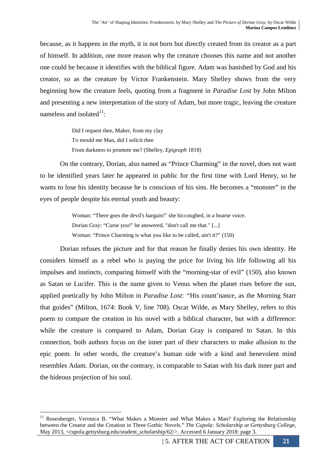because, as it happens in the myth, it is not born but directly created from its creator as a part of himself. In addition, one more reason why the creature chooses this name and not another one could be because it identifies with the biblical figure. Adam was banished by God and his creator, so as the creature by Victor Frankenstein. Mary Shelley shows from the very beginning how the creature feels, quoting from a fragment in *Paradise Lost* by John Milton and presenting a new interpretation of the story of Adam, but more tragic, leaving the creature nameless and isolated $1$ :

> Did I request thee, Maker, from my clay To mould me Man, did I solicit thee From darkness to promote me? (Shelley, *Epigraph* 1818)

On the contrary, Dorian, also named as "Prince Charming" in the novel, does not want to be identified years later he appeared in public for the first time with Lord Henry, so he wants to lose his identity because he is conscious of his sins. He becomes a "monster" in the eyes of people despite his eternal youth and beauty:

> Woman: "There goes the devil's bargain!" she hiccoughed, in a hoarse voice. Dorian Gray: "Curse you!" he answered, "don't call me that." [...] Woman: "Prince Charming is what you like to be called, ain't it?" (150)

Dorian refuses the picture and for that reason he finally denies his own identity. He considers himself as a rebel who is paying the price for living his life following all his impulses and instincts, comparing himself with the "morning-star of evil" (150), also known as Satan or Lucifer. This is the name given to Venus when the planet rises before the sun, applied poetically by John Milton in *Paradise Lost*: *"*His count'nance, as the Morning Starr that guides" (Milton, 1674: Book V, line 708). Oscar Wilde, as Mary Shelley, refers to this poem to compare the creation in his novel with a biblical character, but with a difference: while the creature is compared to Adam, Dorian Gray is compared to Satan. In this connection, both authors focus on the inner part of their characters to make allusion to the epic poem. In other words, the creature's human side with a kind and benevolent mind resembles Adam. Dorian, on the contrary, is comparable to Satan with his dark inner part and the hideous projection of his soul.

<sup>&</sup>lt;sup>11</sup> Rosenberger, Veronica B. "What Makes a Monster and What Makes a Man? Exploring the Relationship between the Creator and the Creation in Three Gothic Novels." *The Cupola: Scholarship at Gettysburg College*, May 2013, <cupola.gettysburg.edu/student\_scholarship/62/>. Accessed 6 January 2018: page 3.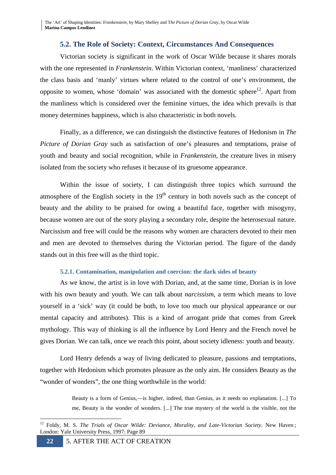### **5.2. The Role of Society: Context, Circumstances And Consequences**

Victorian society is significant in the work of Oscar Wilde because it shares morals with the one represented in *Frankenstein*. Within Victorian context, 'manliness' characterized the class basis and 'manly' virtues where related to the control of one's environment, the opposite to women, whose 'domain' was associated with the domestic sphere<sup>12</sup>. Apart from the manliness which is considered over the feminine virtues, the idea which prevails is that money determines happiness, which is also characteristic in both novels.

Finally, as a difference, we can distinguish the distinctive features of Hedonism in *The Picture of Dorian Gray* such as satisfaction of one's pleasures and temptations, praise of youth and beauty and social recognition, while in *Frankenstein,* the creature lives in misery isolated from the society who refuses it because of its gruesome appearance.

 Within the issue of society, I can distinguish three topics which surround the atmosphere of the English society in the  $19<sup>th</sup>$  century in both novels such as the concept of beauty and the ability to be praised for owing a beautiful face, together with misogyny, because women are out of the story playing a secondary role, despite the heterosexual nature. Narcissism and free will could be the reasons why women are characters devoted to their men and men are devoted to themselves during the Victorian period. The figure of the dandy stands out in this free will as the third topic.

### **5.2.1. Contamination, manipulation and coercion: the dark sides of beauty**

As we know, the artist is in love with Dorian, and, at the same time, Dorian is in love with his own beauty and youth. We can talk about *narcissism*, a term which means to love yourself in a 'sick' way (it could be both, to love too much our physical appearance or our mental capacity and attributes). This is a kind of arrogant pride that comes from Greek mythology. This way of thinking is all the influence by Lord Henry and the French novel he gives Dorian. We can talk, once we reach this point, about society idleness: youth and beauty.

Lord Henry defends a way of living dedicated to pleasure, passions and temptations, together with Hedonism which promotes pleasure as the only aim. He considers Beauty as the "wonder of wonders", the one thing worthwhile in the world:

> Beauty is a form of Genius,—is higher, indeed, than Genius, as it needs no explanation. [...] To me, Beauty is the wonder of wonders. [...] The true mystery of the world is the visible, not the

<sup>&</sup>lt;sup>12</sup> Foldy, M. S. *The Trials of Oscar Wilde: Deviance, Morality, and Late-Victorian Society*. New Haven; London: Yale University Press, 1997: Page 89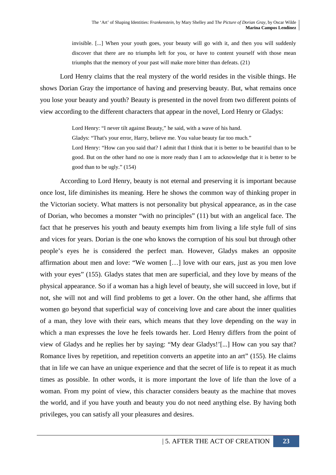invisible. [...] When your youth goes, your beauty will go with it, and then you will suddenly discover that there are no triumphs left for you, or have to content yourself with those mean triumphs that the memory of your past will make more bitter than defeats. (21)

Lord Henry claims that the real mystery of the world resides in the visible things. He shows Dorian Gray the importance of having and preserving beauty. But, what remains once you lose your beauty and youth? Beauty is presented in the novel from two different points of view according to the different characters that appear in the novel, Lord Henry or Gladys:

Lord Henry: "I never tilt against Beauty," he said, with a wave of his hand.

Gladys: "That's your error, Harry, believe me. You value beauty far too much."

Lord Henry: "How can you said that? I admit that I think that it is better to be beautiful than to be good. But on the other hand no one is more ready than I am to acknowledge that it is better to be good than to be ugly." (154)

According to Lord Henry, beauty is not eternal and preserving it is important because once lost, life diminishes its meaning. Here he shows the common way of thinking proper in the Victorian society. What matters is not personality but physical appearance, as in the case of Dorian, who becomes a monster "with no principles" (11) but with an angelical face. The fact that he preserves his youth and beauty exempts him from living a life style full of sins and vices for years. Dorian is the one who knows the corruption of his soul but through other people's eyes he is considered the perfect man. However, Gladys makes an opposite affirmation about men and love: "We women […] love with our ears, just as you men love with your eyes" (155). Gladys states that men are superficial, and they love by means of the physical appearance. So if a woman has a high level of beauty, she will succeed in love, but if not, she will not and will find problems to get a lover. On the other hand, she affirms that women go beyond that superficial way of conceiving love and care about the inner qualities of a man, they love with their ears, which means that they love depending on the way in which a man expresses the love he feels towards her. Lord Henry differs from the point of view of Gladys and he replies her by saying: "My dear Gladys!'[...] How can you say that? Romance lives by repetition, and repetition converts an appetite into an art" (155). He claims that in life we can have an unique experience and that the secret of life is to repeat it as much times as possible. In other words, it is more important the love of life than the love of a woman. From my point of view, this character considers beauty as the machine that moves the world, and if you have youth and beauty you do not need anything else. By having both privileges, you can satisfy all your pleasures and desires.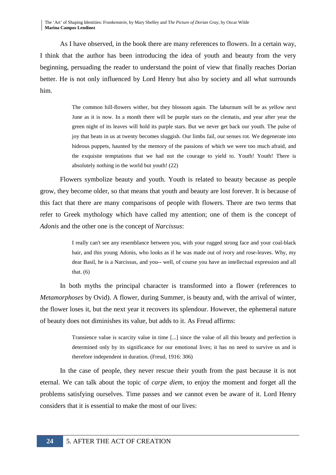The 'Art' of Shaping Identities: F*rankenstein,* by Mary Shelley and T*he Picture of Dorian Gray,* by Oscar Wilde **Marina Campos Lendínez**

 As I have observed, in the book there are many references to flowers. In a certain way, I think that the author has been introducing the idea of youth and beauty from the very beginning, persuading the reader to understand the point of view that finally reaches Dorian better. He is not only influenced by Lord Henry but also by society and all what surrounds him.

> The common hill-flowers wither, but they blossom again. The laburnum will be as yellow next June as it is now. In a month there will be purple stars on the clematis, and year after year the green night of its leaves will hold its purple stars. But we never get back our youth. The pulse of joy that beats in us at twenty becomes sluggish. Our limbs fail, our senses rot. We degenerate into hideous puppets, haunted by the memory of the passions of which we were too much afraid, and the exquisite temptations that we had not the courage to yield to. Youth! Youth! There is absolutely nothing in the world but youth! (22)

Flowers symbolize beauty and youth. Youth is related to beauty because as people grow, they become older, so that means that youth and beauty are lost forever. It is because of this fact that there are many comparisons of people with flowers. There are two terms that refer to Greek mythology which have called my attention; one of them is the concept of *Adonis* and the other one is the concept of *Narcissus*:

> I really can't see any resemblance between you, with your rugged strong face and your coal-black hair, and this young Adonis, who looks as if he was made out of ivory and rose-leaves. Why, my dear Basil, he is a Narcissus, and you-- well, of course you have an intellectual expression and all that. (6)

In both myths the principal character is transformed into a flower (references to *Metamorphoses* by Ovid). A flower, during Summer, is beauty and, with the arrival of winter, the flower loses it, but the next year it recovers its splendour. However, the ephemeral nature of beauty does not diminishes its value, but adds to it. As Freud affirms:

> Transience value is scarcity value in time [...] since the value of all this beauty and perfection is determined only by its significance for our emotional lives; it has no need to survive us and is therefore independent in duration. (Freud, 1916: 306)

In the case of people, they never rescue their youth from the past because it is not eternal. We can talk about the topic of *carpe diem,* to enjoy the moment and forget all the problems satisfying ourselves. Time passes and we cannot even be aware of it. Lord Henry considers that it is essential to make the most of our lives: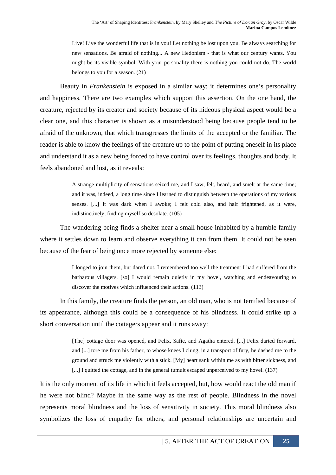Live! Live the wonderful life that is in you! Let nothing be lost upon you. Be always searching for new sensations. Be afraid of nothing... A new Hedonism - that is what our century wants. You might be its visible symbol. With your personality there is nothing you could not do. The world belongs to you for a season. (21)

Beauty in *Frankenstein* is exposed in a similar way: it determines one's personality and happiness. There are two examples which support this assertion. On the one hand, the creature, rejected by its creator and society because of its hideous physical aspect would be a clear one, and this character is shown as a misunderstood being because people tend to be afraid of the unknown, that which transgresses the limits of the accepted or the familiar. The reader is able to know the feelings of the creature up to the point of putting oneself in its place and understand it as a new being forced to have control over its feelings, thoughts and body. It feels abandoned and lost, as it reveals:

> A strange multiplicity of sensations seized me, and I saw, felt, heard, and smelt at the same time; and it was, indeed, a long time since I learned to distinguish between the operations of my various senses. [...] It was dark when I awoke; I felt cold also, and half frightened, as it were, indistinctively, finding myself so desolate. (105)

The wandering being finds a shelter near a small house inhabited by a humble family where it settles down to learn and observe everything it can from them. It could not be seen because of the fear of being once more rejected by someone else:

> I longed to join them, but dared not. I remembered too well the treatment I had suffered from the barbarous villagers, [so] I would remain quietly in my hovel, watching and endeavouring to discover the motives which influenced their actions. (113)

In this family, the creature finds the person, an old man, who is not terrified because of its appearance, although this could be a consequence of his blindness. It could strike up a short conversation until the cottagers appear and it runs away:

> [The] cottage door was opened, and Felix, Safie, and Agatha entered. [...] Felix darted forward, and [...] tore me from his father, to whose knees I clung, in a transport of fury, he dashed me to the ground and struck me violently with a stick. [My] heart sank within me as with bitter sickness, and [...] I quitted the cottage, and in the general tumult escaped unperceived to my hovel. (137)

It is the only moment of its life in which it feels accepted, but, how would react the old man if he were not blind? Maybe in the same way as the rest of people. Blindness in the novel represents moral blindness and the loss of sensitivity in society. This moral blindness also symbolizes the loss of empathy for others, and personal relationships are uncertain and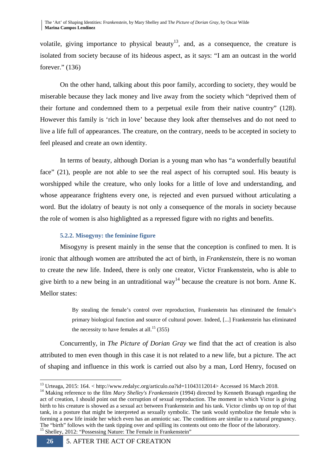volatile, giving importance to physical beauty<sup>13</sup>, and, as a consequence, the creature is isolated from society because of its hideous aspect, as it says: "I am an outcast in the world forever." (136)

On the other hand, talking about this poor family, according to society, they would be miserable because they lack money and live away from the society which "deprived them of their fortune and condemned them to a perpetual exile from their native country" (128). However this family is 'rich in love' because they look after themselves and do not need to live a life full of appearances. The creature, on the contrary, needs to be accepted in society to feel pleased and create an own identity.

 In terms of beauty, although Dorian is a young man who has "a wonderfully beautiful face" (21), people are not able to see the real aspect of his corrupted soul. His beauty is worshipped while the creature, who only looks for a little of love and understanding, and whose appearance frightens every one, is rejected and even pursued without articulating a word. But the idolatry of beauty is not only a consequence of the morals in society because the role of women is also highlighted as a repressed figure with no rights and benefits.

### **5.2.2. Misogyny: the feminine figure**

Misogyny is present mainly in the sense that the conception is confined to men. It is ironic that although women are attributed the act of birth, in *Frankenstein,* there is no woman to create the new life. Indeed, there is only one creator, Victor Frankenstein, who is able to give birth to a new being in an untraditional way<sup>14</sup> because the creature is not born. Anne K. Mellor states:

> By stealing the female's control over reproduction, Frankenstein has eliminated the female's primary biological function and source of cultural power. Indeed, [...] Frankenstein has eliminated the necessity to have females at all.<sup>15</sup> (355)

Concurrently, in *The Picture of Dorian Gray* we find that the act of creation is also attributed to men even though in this case it is not related to a new life, but a picture. The act of shaping and influence in this work is carried out also by a man, Lord Henry, focused on

<sup>&</sup>lt;sup>13</sup> Urteaga, 2015: 164. < http://www.redalyc.org/articulo.oa?id=11043112014> Accessed 16 March 2018.

<sup>&</sup>lt;sup>14</sup> Making reference to the film *Mary Shelley's Frankenstein* (1994) directed by Kenneth Branagh regarding the act of creation, I should point out the corruption of sexual reproduction. The moment in which Victor is giving birth to his creature is showed as a sexual act between Frankenstein and his tank. Victor climbs up on top of that tank, in a posture that might be interpreted as sexually symbolic. The tank would symbolize the female who is forming a new life inside her which even has an amniotic sac. The conditions are similar to a natural pregnancy. The "birth" follows with the tank tipping over and spilling its contents out onto the floor of the laboratory. <sup>15</sup> Shelley, 2012: "Possessing Nature: The Female in Frankenstein"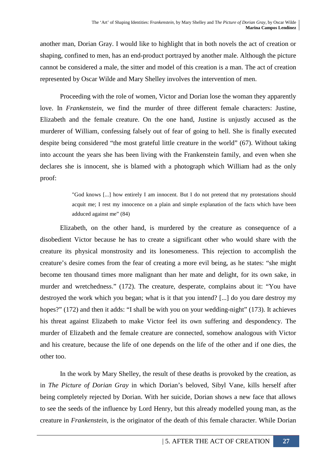another man, Dorian Gray. I would like to highlight that in both novels the act of creation or shaping, confined to men, has an end-product portrayed by another male. Although the picture cannot be considered a male, the sitter and model of this creation is a man. The act of creation represented by Oscar Wilde and Mary Shelley involves the intervention of men.

Proceeding with the role of women, Victor and Dorian lose the woman they apparently love. In *Frankenstein,* we find the murder of three different female characters: Justine, Elizabeth and the female creature. On the one hand, Justine is unjustly accused as the murderer of William, confessing falsely out of fear of going to hell. She is finally executed despite being considered "the most grateful little creature in the world" (67). Without taking into account the years she has been living with the Frankenstein family, and even when she declares she is innocent, she is blamed with a photograph which William had as the only proof:

> "God knows [...] how entirely I am innocent. But I do not pretend that my protestations should acquit me; I rest my innocence on a plain and simple explanation of the facts which have been adduced against me" (84)

Elizabeth, on the other hand, is murdered by the creature as consequence of a disobedient Victor because he has to create a significant other who would share with the creature its physical monstrosity and its lonesomeness. This rejection to accomplish the creature's desire comes from the fear of creating a more evil being, as he states: "she might become ten thousand times more malignant than her mate and delight, for its own sake, in murder and wretchedness." (172). The creature, desperate, complains about it: "You have destroyed the work which you began; what is it that you intend? [...] do you dare destroy my hopes?" (172) and then it adds: "I shall be with you on your wedding-night" (173). It achieves his threat against Elizabeth to make Victor feel its own suffering and despondency. The murder of Elizabeth and the female creature are connected, somehow analogous with Victor and his creature, because the life of one depends on the life of the other and if one dies, the other too.

In the work by Mary Shelley, the result of these deaths is provoked by the creation, as in *The Picture of Dorian Gray* in which Dorian's beloved, Sibyl Vane, kills herself after being completely rejected by Dorian. With her suicide, Dorian shows a new face that allows to see the seeds of the influence by Lord Henry, but this already modelled young man, as the creature in *Frankenstein*, is the originator of the death of this female character. While Dorian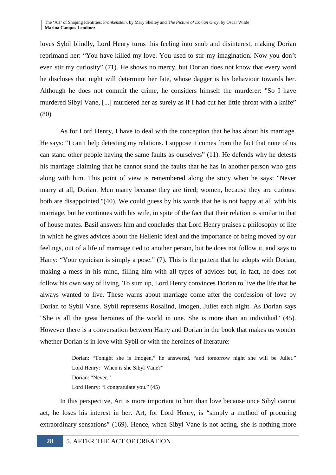The 'Art' of Shaping Identities: F*rankenstein,* by Mary Shelley and T*he Picture of Dorian Gray,* by Oscar Wilde **Marina Campos Lendínez**

loves Sybil blindly, Lord Henry turns this feeling into snub and disinterest, making Dorian reprimand her: "You have killed my love. You used to stir my imagination. Now you don't even stir my curiosity" (71). He shows no mercy, but Dorian does not know that every word he discloses that night will determine her fate, whose dagger is his behaviour towards her. Although he does not commit the crime, he considers himself the murderer: "So I have murdered Sibyl Vane, [...] murdered her as surely as if I had cut her little throat with a knife" (80)

As for Lord Henry, I have to deal with the conception that he has about his marriage. He says: "I can't help detesting my relations. I suppose it comes from the fact that none of us can stand other people having the same faults as ourselves" (11). He defends why he detests his marriage claiming that he cannot stand the faults that he has in another person who gets along with him. This point of view is remembered along the story when he says: "Never marry at all, Dorian. Men marry because they are tired; women, because they are curious: both are disappointed."(40). We could guess by his words that he is not happy at all with his marriage, but he continues with his wife, in spite of the fact that their relation is similar to that of house mates. Basil answers him and concludes that Lord Henry praises a philosophy of life in which he gives advices about the Hellenic ideal and the importance of being moved by our feelings, out of a life of marriage tied to another person, but he does not follow it, and says to Harry: "Your cynicism is simply a pose." (7). This is the pattern that he adopts with Dorian, making a mess in his mind, filling him with all types of advices but, in fact, he does not follow his own way of living. To sum up, Lord Henry convinces Dorian to live the life that he always wanted to live. These warns about marriage come after the confession of love by Dorian to Sybil Vane. Sybil represents Rosalind, Imogen, Juliet each night. As Dorian says "She is all the great heroines of the world in one. She is more than an individual" (45). However there is a conversation between Harry and Dorian in the book that makes us wonder whether Dorian is in love with Sybil or with the heroines of literature:

> Dorian: "Tonight she is Imogen," he answered, "and tomorrow night she will be Juliet." Lord Henry: "When is she Sibyl Vane?" Dorian: "Never." Lord Henry: "I congratulate you." (45)

In this perspective, Art is more important to him than love because once Sibyl cannot act, he loses his interest in her. Art, for Lord Henry, is "simply a method of procuring extraordinary sensations" (169). Hence, when Sibyl Vane is not acting, she is nothing more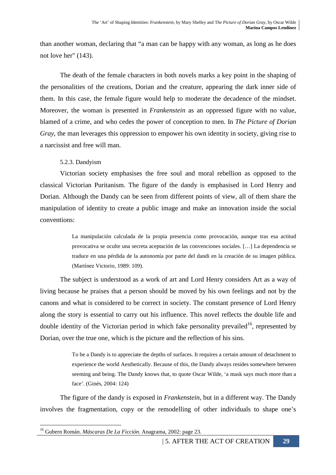than another woman, declaring that "a man can be happy with any woman, as long as he does not love her" (143).

The death of the female characters in both novels marks a key point in the shaping of the personalities of the creations, Dorian and the creature, appearing the dark inner side of them. In this case, the female figure would help to moderate the decadence of the mindset. Moreover, the woman is presented in *Frankenstein* as an oppressed figure with no value, blamed of a crime, and who cedes the power of conception to men. In *The Picture of Dorian Gray*, the man leverages this oppression to empower his own identity in society, giving rise to a narcissist and free will man.

### 5.2.3. Dandyism

Victorian society emphasises the free soul and moral rebellion as opposed to the classical Victorian Puritanism. The figure of the dandy is emphasised in Lord Henry and Dorian. Although the Dandy can be seen from different points of view, all of them share the manipulation of identity to create a public image and make an innovation inside the social conventions:

> La manipulación calculada de la propia presencia como provocación, aunque tras esa actitud provocativa se oculte una secreta aceptación de las convenciones sociales. […] La dependencia se traduce en una pérdida de la autonomía por parte del dandi en la creación de su imagen pública. (Martínez Victorio, 1989: 109).

The subject is understood as a work of art and Lord Henry considers Art as a way of living because he praises that a person should be moved by his own feelings and not by the canons and what is considered to be correct in society. The constant presence of Lord Henry along the story is essential to carry out his influence. This novel reflects the double life and double identity of the Victorian period in which fake personality prevailed<sup>16</sup>, represented by Dorian, over the true one, which is the picture and the reflection of his sins.

> To be a Dandy is to appreciate the depths of surfaces. It requires a certain amount of detachment to experience the world Aesthetically. Because of this, the Dandy always resides somewhere between seeming and being. The Dandy knows that, to quote Oscar Wilde, 'a mask says much more than a face'. (Ginés, 2004: 124)

 The figure of the dandy is exposed in *Frankenstein*, but in a different way. The Dandy involves the fragmentation, copy or the remodelling of other individuals to shape one's

<sup>16</sup> Gubern Román. *Máscaras De La Ficción*. Anagrama, 2002: page 23.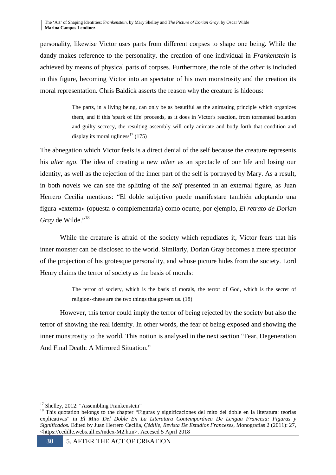personality, likewise Victor uses parts from different corpses to shape one being. While the dandy makes reference to the personality, the creation of one individual in *Frankenstein* is achieved by means of physical parts of corpses. Furthermore, the role of the *other* is included in this figure, becoming Victor into an spectator of his own monstrosity and the creation its moral representation. Chris Baldick asserts the reason why the creature is hideous:

> The parts, in a living being, can only be as beautiful as the animating principle which organizes them, and if this 'spark of life' proceeds, as it does in Victor's reaction, from tormented isolation and guilty secrecy, the resulting assembly will only animate and body forth that condition and display its moral ugliness<sup>17</sup> (175)

The abnegation which Victor feels is a direct denial of the self because the creature represents his *alter ego*. The idea of creating a new *other* as an spectacle of our life and losing our identity, as well as the rejection of the inner part of the self is portrayed by Mary. As a result, in both novels we can see the splitting of the *self* presented in an external figure, as Juan Herrero Cecilia mentions: "El doble subjetivo puede manifestare también adoptando una figura «externa» (opuesta o complementaria) como ocurre, por ejemplo, *El retrato de Dorian Gray* de Wilde."<sup>18</sup>

While the creature is afraid of the society which repudiates it, Victor fears that his inner monster can be disclosed to the world. Similarly, Dorian Gray becomes a mere spectator of the projection of his grotesque personality, and whose picture hides from the society. Lord Henry claims the terror of society as the basis of morals:

> The terror of society, which is the basis of morals, the terror of God, which is the secret of religion--these are the two things that govern us. (18)

However, this terror could imply the terror of being rejected by the society but also the terror of showing the real identity. In other words, the fear of being exposed and showing the inner monstrosity to the world. This notion is analysed in the next section "Fear, Degeneration And Final Death: A Mirrored Situation."

 $\overline{a}$ <sup>17</sup> Shelley, 2012: "Assembling Frankenstein"

<sup>&</sup>lt;sup>18</sup> This quotation belongs to the chapter "Figuras y significaciones del mito del doble en la literatura: teorías explicativas" in *El Mito Del Doble En La Literatura Contemporánea De Lengua Francesa: Figuras y Significados.* Edited by Juan Herrero Cecilia, *Çédille, Revista De Estudios Franceses*, Monografías 2 (2011): 27, <https://cedille.webs.ull.es/index-M2.htm>. Accesed 5 April 2018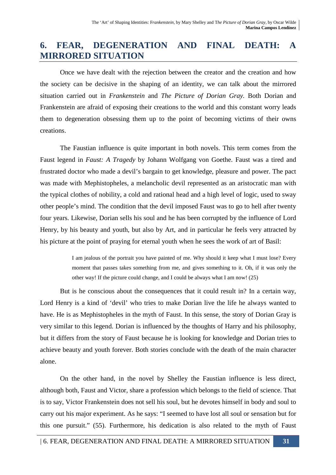# **6. FEAR, DEGENERATION AND FINAL DEATH: A MIRRORED SITUATION**

 Once we have dealt with the rejection between the creator and the creation and how the society can be decisive in the shaping of an identity, we can talk about the mirrored situation carried out in *Frankenstein* and *The Picture of Dorian Gray.* Both Dorian and Frankenstein are afraid of exposing their creations to the world and this constant worry leads them to degeneration obsessing them up to the point of becoming victims of their owns creations.

The Faustian influence is quite important in both novels. This term comes from the Faust legend in *Faust: A Tragedy* by Johann Wolfgang von Goethe. Faust was a tired and frustrated doctor who made a devil's bargain to get knowledge, pleasure and power. The pact was made with Mephistopheles, a melancholic devil represented as an aristocratic man with the typical clothes of nobility, a cold and rational head and a high level of logic, used to sway other people's mind. The condition that the devil imposed Faust was to go to hell after twenty four years. Likewise, Dorian sells his soul and he has been corrupted by the influence of Lord Henry, by his beauty and youth, but also by Art, and in particular he feels very attracted by his picture at the point of praying for eternal youth when he sees the work of art of Basil:

> I am jealous of the portrait you have painted of me. Why should it keep what I must lose? Every moment that passes takes something from me, and gives something to it. Oh, if it was only the other way! If the picture could change, and I could be always what I am now! (25)

But is he conscious about the consequences that it could result in? In a certain way, Lord Henry is a kind of 'devil' who tries to make Dorian live the life he always wanted to have. He is as Mephistopheles in the myth of Faust. In this sense, the story of Dorian Gray is very similar to this legend. Dorian is influenced by the thoughts of Harry and his philosophy, but it differs from the story of Faust because he is looking for knowledge and Dorian tries to achieve beauty and youth forever. Both stories conclude with the death of the main character alone.

On the other hand, in the novel by Shelley the Faustian influence is less direct, although both, Faust and Victor, share a profession which belongs to the field of science. That is to say, Victor Frankenstein does not sell his soul, but he devotes himself in body and soul to carry out his major experiment. As he says: "I seemed to have lost all soul or sensation but for this one pursuit." (55). Furthermore, his dedication is also related to the myth of Faust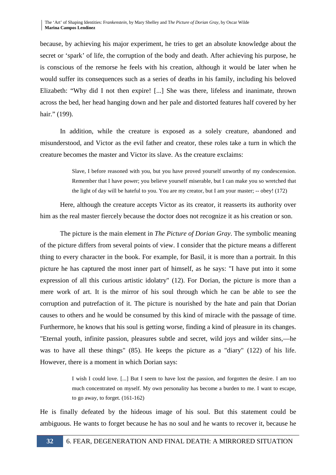The 'Art' of Shaping Identities: F*rankenstein,* by Mary Shelley and T*he Picture of Dorian Gray,* by Oscar Wilde **Marina Campos Lendínez**

because, by achieving his major experiment, he tries to get an absolute knowledge about the secret or 'spark' of life, the corruption of the body and death. After achieving his purpose, he is conscious of the remorse he feels with his creation, although it would be later when he would suffer its consequences such as a series of deaths in his family, including his beloved Elizabeth: "Why did I not then expire! [...] She was there, lifeless and inanimate, thrown across the bed, her head hanging down and her pale and distorted features half covered by her hair." (199).

In addition, while the creature is exposed as a solely creature, abandoned and misunderstood, and Victor as the evil father and creator, these roles take a turn in which the creature becomes the master and Victor its slave. As the creature exclaims:

> Slave, I before reasoned with you, but you have proved yourself unworthy of my condescension. Remember that I have power; you believe yourself miserable, but I can make you so wretched that the light of day will be hateful to you. You are my creator, but I am your master; -- obey! (172)

Here, although the creature accepts Victor as its creator, it reasserts its authority over him as the real master fiercely because the doctor does not recognize it as his creation or son.

The picture is the main element in *The Picture of Dorian Gray*. The symbolic meaning of the picture differs from several points of view. I consider that the picture means a different thing to every character in the book. For example, for Basil, it is more than a portrait. In this picture he has captured the most inner part of himself, as he says: "I have put into it some expression of all this curious artistic idolatry" (12). For Dorian, the picture is more than a mere work of art. It is the mirror of his soul through which he can be able to see the corruption and putrefaction of it. The picture is nourished by the hate and pain that Dorian causes to others and he would be consumed by this kind of miracle with the passage of time. Furthermore, he knows that his soul is getting worse, finding a kind of pleasure in its changes. "Eternal youth, infinite passion, pleasures subtle and secret, wild joys and wilder sins,—he was to have all these things" (85). He keeps the picture as a "diary" (122) of his life. However, there is a moment in which Dorian says:

> I wish I could love. [...] But I seem to have lost the passion, and forgotten the desire. I am too much concentrated on myself. My own personality has become a burden to me. I want to escape, to go away, to forget. (161-162)

He is finally defeated by the hideous image of his soul. But this statement could be ambiguous. He wants to forget because he has no soul and he wants to recover it, because he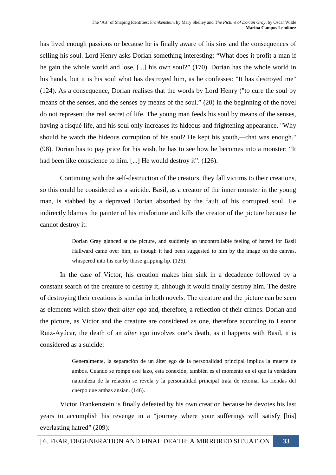has lived enough passions or because he is finally aware of his sins and the consequences of selling his soul. Lord Henry asks Dorian something interesting: "What does it profit a man if he gain the whole world and lose, [...] his own soul?" (170). Dorian has the whole world in his hands, but it is his soul what has destroyed him, as he confesses: "It has destroyed me" (124). As a consequence, Dorian realises that the words by Lord Henry ("to cure the soul by means of the senses, and the senses by means of the soul." (20) in the beginning of the novel do not represent the real secret of life. The young man feeds his soul by means of the senses, having a risqué life, and his soul only increases its hideous and frightening appearance. "Why should he watch the hideous corruption of his soul? He kept his youth,—that was enough." (98). Dorian has to pay price for his wish, he has to see how he becomes into a monster: "It had been like conscience to him. [...] He would destroy it". (126).

 Continuing with the self-destruction of the creators, they fall victims to their creations, so this could be considered as a suicide. Basil, as a creator of the inner monster in the young man, is stabbed by a depraved Dorian absorbed by the fault of his corrupted soul. He indirectly blames the painter of his misfortune and kills the creator of the picture because he cannot destroy it:

> Dorian Gray glanced at the picture, and suddenly an uncontrollable feeling of hatred for Basil Hallward came over him, as though it had been suggested to him by the image on the canvas, whispered into his ear by those gripping lip. (126).

In the case of Victor, his creation makes him sink in a decadence followed by a constant search of the creature to destroy it, although it would finally destroy him. The desire of destroying their creations is similar in both novels. The creature and the picture can be seen as elements which show their *alter ego* and, therefore, a reflection of their crimes. Dorian and the picture, as Victor and the creature are considered as one, therefore according to Leonor Ruiz-Ayúcar, the death of an *alter ego* involves one's death, as it happens with Basil, it is considered as a suicide:

> Generalmente, la separación de un álter ego de la personalidad principal implica la muerte de ambos. Cuando se rompe este lazo, esta conexión, también es el momento en el que la verdadera naturaleza de la relación se revela y la personalidad principal trata de retomar las riendas del cuerpo que ambas ansían. (146).

Victor Frankenstein is finally defeated by his own creation because he devotes his last years to accomplish his revenge in a "journey where your sufferings will satisfy [his] everlasting hatred" (209):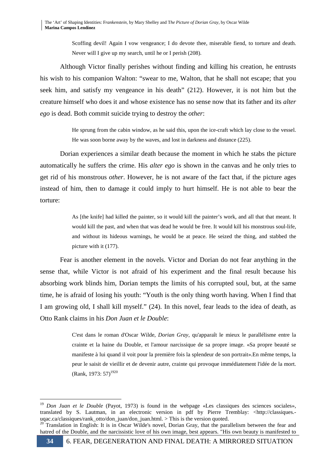Scoffing devil! Again I vow vengeance; I do devote thee, miserable fiend, to torture and death. Never will I give up my search, until he or I perish (208).

Although Victor finally perishes without finding and killing his creation, he entrusts his wish to his companion Walton: "swear to me, Walton, that he shall not escape; that you seek him, and satisfy my vengeance in his death" (212). However, it is not him but the creature himself who does it and whose existence has no sense now that its father and its *alter ego* is dead. Both commit suicide trying to destroy the *other*:

> He sprung from the cabin window, as he said this, upon the ice-craft which lay close to the vessel. He was soon borne away by the waves, and lost in darkness and distance (225).

 Dorian experiences a similar death because the moment in which he stabs the picture automatically he suffers the crime. His *alter ego* is shown in the canvas and he only tries to get rid of his monstrous *other*. However, he is not aware of the fact that, if the picture ages instead of him, then to damage it could imply to hurt himself. He is not able to bear the torture:

> As [the knife] had killed the painter, so it would kill the painter's work, and all that that meant. It would kill the past, and when that was dead he would be free. It would kill his monstrous soul-life, and without its hideous warnings, he would be at peace. He seized the thing, and stabbed the picture with it (177).

 Fear is another element in the novels. Victor and Dorian do not fear anything in the sense that, while Victor is not afraid of his experiment and the final result because his absorbing work blinds him, Dorian tempts the limits of his corrupted soul, but, at the same time, he is afraid of losing his youth: "Youth is the only thing worth having. When I find that I am growing old, I shall kill myself." (24). In this novel, fear leads to the idea of death, as Otto Rank claims in his *Don Juan et le Double*:

> C'est dans le roman d'Oscar Wilde, *Dorian Gray*, qu'apparaît le mieux le parallélisme entre la crainte et la haine du Double, et l'amour narcissique de sa propre image. «Sa propre beauté se manifeste à lui quand il voit pour la première fois la splendeur de son portrait».En même temps, la peur le saisit de vieillir et de devenir autre, crainte qui provoque immédiatement l'idée de la mort. (Rank, 1973:  $57$ )<sup>1920</sup>

 $\overline{a}$ <sup>19</sup> *Don Juan et le Double* (Payot, 1973) is found in the webpage «Les classiques des sciences sociales», translated by S. Lautman, in an electronic version in pdf by Pierre Tremblay: <http://classiques. uqac.ca/classiques/rank\_otto/don\_juan/don\_juan.html. > This is the version quoted.

<sup>20</sup> Translation in English: It is in Oscar Wilde's novel, Dorian Gray, that the parallelism between the fear and hatred of the Double, and the narcissistic love of his own image, best appears. "His own beauty is manifested to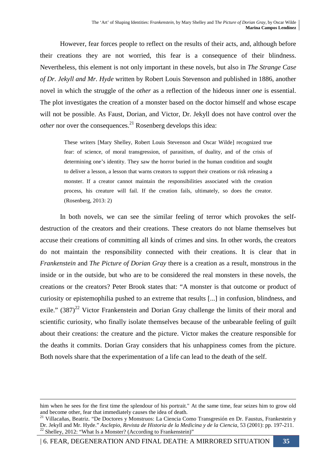However, fear forces people to reflect on the results of their acts, and, although before their creations they are not worried, this fear is a consequence of their blindness. Nevertheless, this element is not only important in these novels, but also in *The Strange Case of Dr. Jekyll and Mr. Hyde* written by Robert Louis Stevenson and published in 1886, another novel in which the struggle of the *other* as a reflection of the hideous inner *one* is essential. The plot investigates the creation of a monster based on the doctor himself and whose escape will not be possible. As Faust, Dorian, and Victor, Dr. Jekyll does not have control over the *other* nor over the consequences.<sup>21</sup> Rosenberg develops this idea:

These writers [Mary Shelley, Robert Louis Stevenson and Oscar Wilde] recognized true fear: of science, of moral transgression, of parasitism, of duality, and of the crisis of determining one's identity. They saw the horror buried in the human condition and sought to deliver a lesson, a lesson that warns creators to support their creations or risk releasing a monster. If a creator cannot maintain the responsibilities associated with the creation process, his creature will fail. If the creation fails, ultimately, so does the creator. (Rosenberg, 2013: 2)

 In both novels, we can see the similar feeling of terror which provokes the selfdestruction of the creators and their creations. These creators do not blame themselves but accuse their creations of committing all kinds of crimes and sins. In other words, the creators do not maintain the responsibility connected with their creations. It is clear that in *Frankenstein* and *The Picture of Dorian Gray* there is a creation as a result, monstrous in the inside or in the outside, but who are to be considered the real monsters in these novels, the creations or the creators? Peter Brook states that: "A monster is that outcome or product of curiosity or epistemophilia pushed to an extreme that results [...] in confusion, blindness, and exile."  $(387)^{22}$  Victor Frankenstein and Dorian Gray challenge the limits of their moral and scientific curiosity, who finally isolate themselves because of the unbearable feeling of guilt about their creations: the creature and the picture. Victor makes the creature responsible for the deaths it commits. Dorian Gray considers that his unhappiness comes from the picture. Both novels share that the experimentation of a life can lead to the death of the self.

| 6. FEAR, DEGENERATION AND FINAL DEATH: A MIRRORED SITUATION **35** 

him when he sees for the first time the splendour of his portrait." At the same time, fear seizes him to grow old and become other, fear that immediately causes the idea of death.

<sup>21</sup> Villacañas, Beatriz. "De Doctores y Monstruos: La Ciencia Como Transgresión en Dr. Faustus, Frankestein y Dr. Jekyll and Mr. Hyde." *Asclepio, Revista de Historia de la Medicina y de la Ciencia*, 53 (2001): pp. 197-211. <sup>2</sup> Shelley, 2012: "What Is a Monster? (According to Frankenstein)"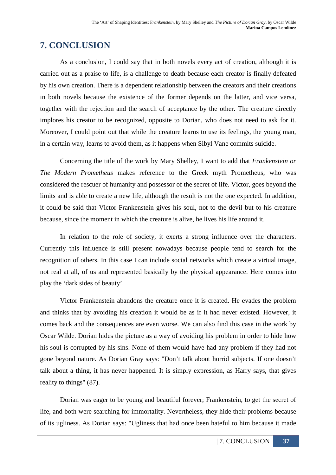# **7. CONCLUSION**

As a conclusion, I could say that in both novels every act of creation, although it is carried out as a praise to life, is a challenge to death because each creator is finally defeated by his own creation. There is a dependent relationship between the creators and their creations in both novels because the existence of the former depends on the latter, and vice versa, together with the rejection and the search of acceptance by the other. The creature directly implores his creator to be recognized, opposite to Dorian, who does not need to ask for it. Moreover, I could point out that while the creature learns to use its feelings, the young man, in a certain way, learns to avoid them, as it happens when Sibyl Vane commits suicide.

Concerning the title of the work by Mary Shelley, I want to add that *Frankenstein or The Modern Prometheus* makes reference to the Greek myth Prometheus, who was considered the rescuer of humanity and possessor of the secret of life. Victor, goes beyond the limits and is able to create a new life, although the result is not the one expected. In addition, it could be said that Victor Frankenstein gives his soul, not to the devil but to his creature because, since the moment in which the creature is alive, he lives his life around it.

In relation to the role of society, it exerts a strong influence over the characters. Currently this influence is still present nowadays because people tend to search for the recognition of others. In this case I can include social networks which create a virtual image, not real at all, of us and represented basically by the physical appearance. Here comes into play the 'dark sides of beauty'.

Victor Frankenstein abandons the creature once it is created. He evades the problem and thinks that by avoiding his creation it would be as if it had never existed. However, it comes back and the consequences are even worse. We can also find this case in the work by Oscar Wilde. Dorian hides the picture as a way of avoiding his problem in order to hide how his soul is corrupted by his sins. None of them would have had any problem if they had not gone beyond nature. As Dorian Gray says: "Don't talk about horrid subjects. If one doesn't talk about a thing, it has never happened. It is simply expression, as Harry says, that gives reality to things" (87).

Dorian was eager to be young and beautiful forever; Frankenstein, to get the secret of life, and both were searching for immortality. Nevertheless, they hide their problems because of its ugliness. As Dorian says: "Ugliness that had once been hateful to him because it made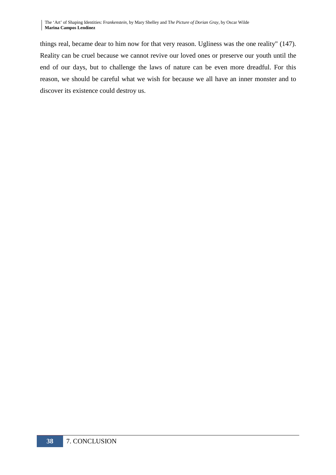things real, became dear to him now for that very reason. Ugliness was the one reality" (147). Reality can be cruel because we cannot revive our loved ones or preserve our youth until the end of our days, but to challenge the laws of nature can be even more dreadful. For this reason, we should be careful what we wish for because we all have an inner monster and to discover its existence could destroy us.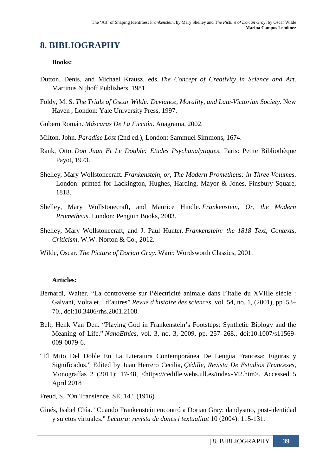# **8. BIBLIOGRAPHY**

### **Books:**

- Dutton, Denis, and Michael Krausz, eds. *The Concept of Creativity in Science and Art*. Martinus Nijhoff Publishers, 1981.
- Foldy, M. S. *The Trials of Oscar Wilde: Deviance, Morality, and Late-Victorian Society*. New Haven ; London: Yale University Press, 1997.
- Gubern Román. *Máscaras De La Ficción*. Anagrama, 2002.
- Milton, John. *Paradise Lost* (2nd ed.), London: Sammuel Simmons, 1674.
- Rank, Otto. *Don Juan Et Le Double: Etudes Psychanalytiques*. Paris: Petite Bibliothèque Payot, 1973.
- Shelley, Mary Wollstonecraft. *Frankenstein, or, The Modern Prometheus: in Three Volumes*. London: printed for Lackington, Hughes, Harding, Mayor & Jones, Finsbury Square, 1818.
- Shelley, Mary Wollstonecraft, and Maurice Hindle. *Frankenstein, Or, the Modern Prometheus*. London: Penguin Books, 2003.
- Shelley, Mary Wollstonecraft, and J. Paul Hunter. *Frankenstein: the 1818 Text, Contexts, Criticism*. W.W. Norton & Co., 2012.
- Wilde, Oscar. *The Picture of Dorian Gray*. Ware: Wordsworth Classics, 2001.

### **Articles:**

- Bernardi, Walter. "La controverse sur l'électricité animale dans l'Italie du XVIIIe siècle : Galvani, Volta et... d'autres" *Revue d'histoire des sciences*, vol. 54, no. 1, (2001), pp. 53– 70., doi:10.3406/rhs.2001.2108.
- Belt, Henk Van Den. "Playing God in Frankenstein's Footsteps: Synthetic Biology and the Meaning of Life." *NanoEthics*, vol. 3, no. 3, 2009, pp. 257–268., doi:10.1007/s11569- 009-0079-6.
- "El Mito Del Doble En La Literatura Contemporánea De Lengua Francesa: Figuras y Significados." Edited by Juan Herrero Cecilia, *Çédille, Revista De Estudios Franceses*, Monografías 2 (2011): 17-48, <https://cedille.webs.ull.es/index-M2.htm>. Accessed 5 April 2018
- Freud, S. "On Transience. SE, 14." (1916)
- Ginés, Isabel Clúa. "Cuando Frankenstein encontró a Dorian Gray: dandysmo, post-identidad y sujetos virtuales." *Lectora: revista de dones i textualitat* 10 (2004): 115-131.